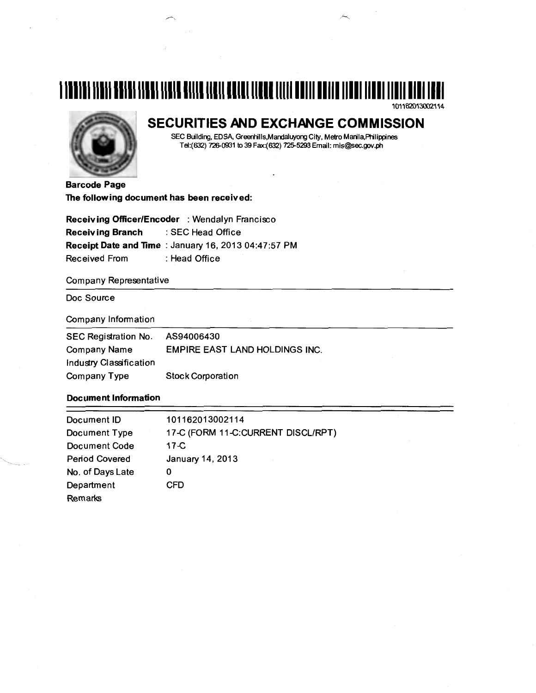# **1111111111111111111111111111111111111111111111111111111111111111111111111111111111111**

101162013002114



# **SECURITIES AND EXCHANGE COMMISSION**

SEC Building, EDSA, Greenhills,Mandaluyong City, Metro Manila,Philippines Tel:(632) 726-0931 to 39 Fax:(632) 725-5293 Email: mis@sec.gov.ph

Barcode Page The following document has been received:

Receiving Officer/Encoder : Wendalyn Francisco Receiving Branch : SEC Head Office Receipt Date and Time : January 16, 2013 04:47:57 PM Received From : Head Office

Company Representative

Doc Source

#### Company Information

| SEC Registration No.    | AS94006430                            |
|-------------------------|---------------------------------------|
| Company Name            | <b>EMPIRE EAST LAND HOLDINGS INC.</b> |
| Industry Classification |                                       |
| Company Type            | <b>Stock Corporation</b>              |

### Document Information

| Document ID           | 101162013002114                    |
|-----------------------|------------------------------------|
| Document Type         | 17-C (FORM 11-C:CURRENT DISCL/RPT) |
| Document Code         | $17-C$                             |
| <b>Period Covered</b> | January 14, 2013                   |
| No. of Days Late      | 0                                  |
| Department            | CFD                                |
| Remarks               |                                    |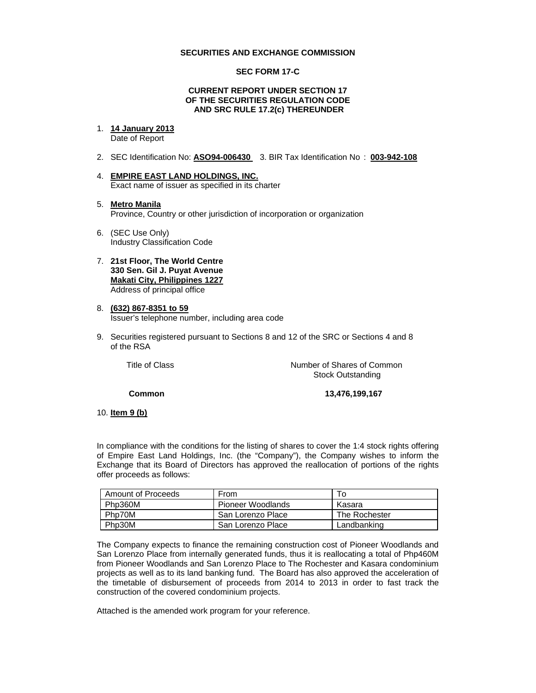#### **SECURITIES AND EXCHANGE COMMISSION**

#### **SEC FORM 17-C**

#### **CURRENT REPORT UNDER SECTION 17 OF THE SECURITIES REGULATION CODE AND SRC RULE 17.2(c) THEREUNDER**

- 1. **14 January 2013** Date of Report
- 2. SEC Identification No: **ASO94-006430** 3. BIR Tax Identification No : **003-942-108**
- 4. **EMPIRE EAST LAND HOLDINGS, INC.** Exact name of issuer as specified in its charter
- 5. **Metro Manila** Province, Country or other jurisdiction of incorporation or organization
- 6. (SEC Use Only) Industry Classification Code
- 7. **21st Floor, The World Centre 330 Sen. Gil J. Puyat Avenue Makati City, Philippines 1227** Address of principal office
- 8. **(632) 867-8351 to 59** Issuer's telephone number, including area code
- 9. Securities registered pursuant to Sections 8 and 12 of the SRC or Sections 4 and 8 of the RSA

Title of Class **Number of Shares of Common** Stock Outstanding

**Common 13,476,199,167** 

10. **Item 9 (b)**

In compliance with the conditions for the listing of shares to cover the 1:4 stock rights offering of Empire East Land Holdings, Inc. (the "Company"), the Company wishes to inform the Exchange that its Board of Directors has approved the reallocation of portions of the rights offer proceeds as follows:

| Amount of Proceeds | From                             | To     |
|--------------------|----------------------------------|--------|
| Php360M            | Pioneer Woodlands                | Kasara |
| Php70M             | San Lorenzo Place                |        |
| Php30M             | Landbanking<br>San Lorenzo Place |        |

The Company expects to finance the remaining construction cost of Pioneer Woodlands and San Lorenzo Place from internally generated funds, thus it is reallocating a total of Php460M from Pioneer Woodlands and San Lorenzo Place to The Rochester and Kasara condominium projects as well as to its land banking fund. The Board has also approved the acceleration of the timetable of disbursement of proceeds from 2014 to 2013 in order to fast track the construction of the covered condominium projects.

Attached is the amended work program for your reference.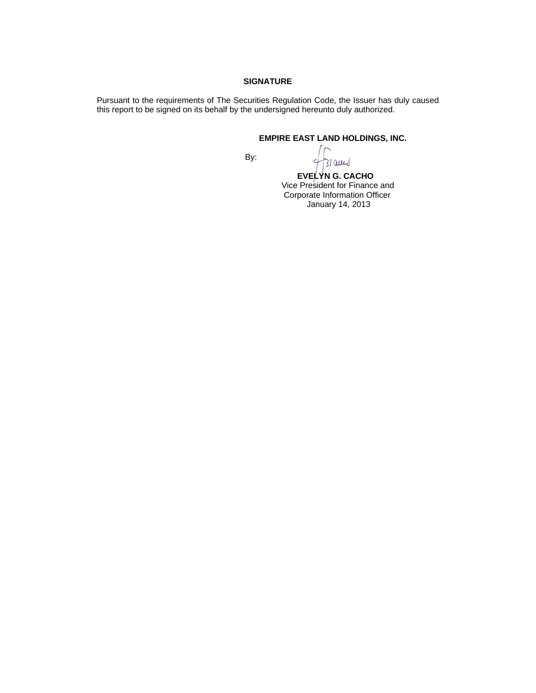#### **SIGNATURE**

Pursuant to the requirements of The Securities Regulation Code, the Issuer has duly caused this report to be signed on its behalf by the undersigned hereunto duly authorized.

## **EMPIRE EAST LAND HOLDINGS, INC.**

**By: By:** 

31 aug

 **EVELYN G. CACHO** Vice President for Finance and Corporate Information Officer January 14, 2013